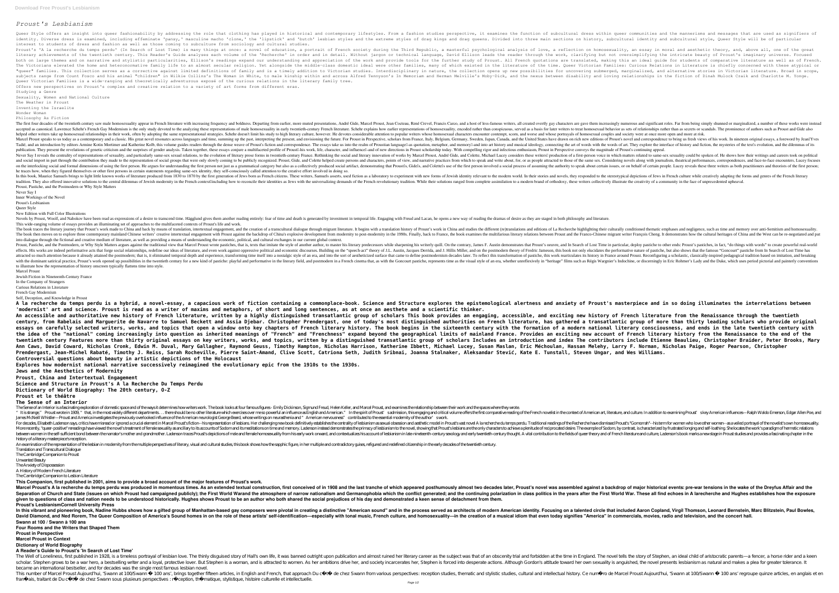# *Proust's Lesbianism*

Queer Style offers an insight into queer fashionability by addressing the role that clothing has played in historical and contemporary lifestyles. From a fashion studies perspective, it examines the function of subcultural identity. Diverse dress is examined, including effeminate 'pansy,' masculine macho 'clone,' the 'lipstick' and 'butch' lesbian styles and the extreme styles of drag kings and drag queens. Divided into three main sections o interest to students of dress and fashion as well as those coming to subculture from sociology and cultural studies. Proust's 'A la recherche du temps perdu' (In Search of Lost Time) is many things at once: a novel of education, a portrait of French society during the Third Republic, a masterful psychological analysis of love, a reflecti literary achievements of the twentieth century. This Reader's Guide analyses each volume of the 'Recherche' in order and in detail. Without jargon or technical language, David Ellison leads the work, clarifying but not ove both on large themes and on narrative and stylistic particularities, Ellison's readings expand our understanding and appreciation of the work and provide tools for the further study of Proust. All French quotations are tra The Victorians elevated the home and heteronormative family life to an almost secular religion. Yet alongside the middle-class domestic ideal were other families, many of which existed in the literature of the time. Queer "queer" families. This collection serves as a corrective against limited definitions of family and is a timely addition to Victorian studies. Interdisciplinary in nature, the collection opens up new possibilities for uncov subjects range from Count Fosco and his animal "children" in Wilkie Collins's The Woman in White, to male kinship within and across Alfred Tennyson's In Memoriam and Herman Melville's Moby-Dick, and the nexus between disab Queer Victorian Families is a wide-ranging and theoretically adventurous exposé of the curious relations in the literary family tree. Offers new perspectives on Proust's complex and creative relation to a variety of art forms from different eras. Studying a Genre

Sexuality, Women and National Culture The Weather in Proust

Inventing the Israelite Wonder Woman

Philosophy As Fiction

The first four decades of the twentieth century saw male homosexuality appear in French literature with increasing frequency and boldness. Departing from earlier, more muted presentations, André Gide, Marcel Proust, Jean C accepted as canonical. Lawrence Schehr's French Gay Modernism is the only study devoted to the analyzing these representations of male homosexuality, encoded rather than as secrets or scandals. The prominence of authors su helped other writers take up homosexual relationships in their work, often by adopting the same representational strategies. Schehr doesn't limit his study to high literary culture, however. He devotes considerable attenti Marcel Proust speaks to us today as a contemporary and a classic. His great novel resonates across languages and time, summing up the past, interpreting the present, and envisioning the future. For Proust's novel and corre Tadié, and an introduction by editors Armine Kotin Mortimer and Katherine Kolb, this volume guides readers through the dense weave of Proust's fiction and correspondence. The essays take us into the realm of Proustian lang publication. They present the revelations of genetic criticism and the surprises of gender analysis. Taken together, these essays conjure a multifaceted profile of Proustl-his work, life, character, and influencell-and of Never Say I reveals the centrality of representations of sexuality, and particularly same-sex sexual relations, to the evolution of literary prose forms in twentieth-century France. Rethinking the social and literary innov norther part through the contribution they made to the representation of social groups that were only slowly coming to be publicly recognized. Proust, Gide, and Colette helped create persons and characters, points of view, or the interlocking social and formal dimensions of using the first person. He argues for understanding the first person not just as a grammatical category but also as a collectively produced social artifact, demonstrating he traces how, when they figured themselves or other first persons in certain statements regarding same-sex identity, they self-consciously called attention to the creative effort involved in doing so. In this book, Maurice Samuels brings to light little known works of literature produced from 1830 to 1870 by the first generation of Jewish identity relevant to the modern world. In their stories and novels, they responded radition. They also offered innovative solutions to the central dilemmas of Jewish modernity in the French contextllincluding how to reconcile their identities as Jews with the universalizing demands of the French revoluti Proust, Pastiche, and the Postmodern or Why Style Matters

Novels by Proust, Woolf, and Nabokov have been read as expressions of a desire to transcend time. Hägglund gives them another reading entirely: fear of time and death is generated by investment in temporal life. Engaging w This wide-ranging volume of essays provides an illuminating set of approaches to the multifaceted contexts of Proust's life and work.

The book traces the literary journey that Proust's work made to China and back by means of translation, intertextual engagement, and the creation of a transcultural dialogue through migrant literature. It begins with a tra The book then moves on to explore three contemporary mainland Chinese writers' creative intertextual engagement with Proust against the backdrop of China's explosive development from modernity in the 1990s. Finally, back t into dialogue through the fictional and creative medium of literature, as well as providing a means of understanding the economic, political, and cultural exchanges in our current global context. Proust, Pastiche, and the Postmodern, or Why Style Matters argues against the traditional view that Marcel Proust with Marcel Proust wrote pastiches, that is, texts that imitate the style of another author, to master his l effects. His works are indeed performative acts that forge social relationships, redefine our ideas of literature, and even work against oppressive political and economic discourses. Building on the "speech-act" theory of attracted so much attention because it already attained the postmodern; that is, it eliminated temporal depth and experience, transforming time itself into a nostalgic style of an era, and into the sort of aestheticized su with the dominant satirical practice, Proust's work opened up possibilities in the twentieth century for a new kind of pastiche: playful and performative in the literary field, and postmodern in a French cinema that, as wi to illustrate how the representation of history onscreen typically flattens time into style.

A la recherche du temps perdu is a hybrid, a novel-essay, a capacious work of fiction containing a commonplace-book. Science and structure explores the epistemological alertness and anxiety of Proust's masterpiece and in s **'modernist' art and science. Proust is read as a writer of maxims and metaphors, of short and long sentences, as at once an aesthete and a scientific thinker.** An accessible and authoritative new history of French literature, written by a highly distinguished transatlantic group of scholars This book provides an engaging, accessible, and exciting new history of French literature century, from Rabelais and Marguerite de Navarre to Samuel Beckett and Assia Djebar. Christopher Prendergast, one of today's most distinguished authorities on French literature, has gathered a transatlantic group of more t essays on carefully selected writers, works, and topics that open a window onto key chapters of French literary history. The book begins in the sixteenth century with the formation of a modern national literary consciousne the idea of the "national" coming increasingly into question as inherited meanings of "French" and "Frenchness" expand beyond the geographical limits of mainland France. Provides an exciting new account of French literary twentieth century Features more than thirty original essays on key writers, works, and topics, written by a distinguished transatlantic group of scholars Includes an introduction and index The contributors include Etienne Ann Caws, David Coward, Nicholas Cronk, Edwin M. Duval, Mary Gallagher, Raymond Geuss, Timothy Hampton, Nicholas Harrison, Katherine Ibbett, Micholas Harrison, Katherine Ibbett, Micholas Harrison, Katherine Ibbett, Michola Prendergast, Jean-Michel Rabaté, Timothy J. Reiss, Sarah Rocheville, Pierre Saint-Amand, Clive Scott, Catriona Seth, Judith Sribnai, Joanna Stalnaker, Aleksandar Stević, Kate E. Tunstall, Steven Ungar, and Wes Williams. **Controversial questions about beauty in artistic depictions of the Holocaust**

Never Say I

Inner Workings of the Novel

Proust's Lesbianism Queer Style

New Edition with Full Color Illustrations

The Sense of an Interior is a fascinating exploration of domestic space and of the ways it determines how writers work. The book looks at four famous figures - Emily Dickinson, Sigmund Freud, Helen Keller, and Marcel Prous "It is strange," Proust wrote in 1909," that, in the most widely different departments... there should be no other literature which exercises over me so powerful an influence as English and American art, literature, and cu James McNeill Whistler—Proust and America investigates the previously overlooked influence of the American neurologist George Beard, whose writings on neurasthenia and "American nervousness" contributed to the essential mo For decades, Elisabeth Ladenson says, critics have misread or ignored a crucial element in Marcel Proust's fiction--his representation of lesbians. Her challenging new book definitively establishes the centrality of lesbia More recently, "queer- positive" rereadings have viewed the novel's treatment of female sexuality as ancillary to its accounts of Sodom and its meditations on time and memory. Ladenson instead demonstrates the primacy of l here women in the self-sufficient bond between the narrator's mother and grandmother. Ladenson traces Proust's depictions of male and female homosexuality from his early work onward, and contextualizes his account of lesbi history of a literary masterpiece's reception.

An examination of the representation of the lesbian in modernity from the multiple perspectives of literary, visual and cultural studies, this book shows how the sapphic figure, in her multiple and contradictory guises, re Translation and Transcultural Dialogue

Marcel Proust's A la recherche du temps perdu was produced in momentous times. As an extended textual construction, first conceived of in 1908 and the last tranche of which appeared posthumously almost two decades later, P Separation of Church and State (issues on which Proust had campaigned publicly); the First World Warand the atmosphere of narrow nationalism and Germanophobia which the continuing polarization in class politics in the vear **given to questions of class and nation needs to be understood historically. Hughes shows Proust to be an author who both shared the social prejudices of his day and demonstrated a keen sense of detachment from them. Proust's LesbianismCornell University Press**

In this vibrant and pioneering book, Nadine Hubbs shows how a gifted group of Manhattan-based gay composers were pivotal in creating a distinctive "American sound" and in the process served as architects of modern American David Diamond, and Ned Rorem, The Queer Composition of America's Sound homes in on the role of these artists' self-identification—especially with tonal music, French culture, and homosexuality—in the creation of a musical **Swann at 100 / Swann à 100 ans**

The Well of Loneliness, first published in 1928, is a timeless portrayal of lesbian love. The thinly disguised story of Hall's own life, it was banned outright upon publication and almost ruined her literary career as the scholar. S tephen grows to be a war hero, a bestselling writer and a loyal, protective lover. But S tephen is a woman, and is a thracted to women. As her ambitions drive her, and society incarcerates her, S tephen is force became an international bestseller, and for decades was the single most famous lesbian novel.

This number of Marcel Proust Aujourd'hui, 'S wann at 100/S wann à 100 ans', brings toge ther fifteen articles, in English and French, that approach Du cô té de chez S wann from various perspectives: reception studies, them franç ais, traitant de Du côté de chez Swann sous plusieurs perspectives : réception, thé matique, stylistique, histoire culturelle et intellectuelle

Marcel Proust Jewish Fiction in Nineteenth-Century France

In the Company of Strangers

Curious Relations in Literature French Gay Modernism

## Self, Deception, and Knowledge in Proust

**Explores how modernist national narrative successively reimagined the evolutionary epic from the 1910s to the 1930s. Jews and the Aesthetics of Modernity**

**Proust, China and Intertextual Engagement**

**Science and Structure in Proust's A la Recherche Du Temps Perdu Dictionary of World Biography: The 20th century, O-Z**

### **Proust et le théâtre The Sense of an Interior**

The Cambridge Companion to Proust

Unwanted Beauty

The Anxiety of Dispossession

A History of Modern French Literature

The Cambridge Companion to Lesbian Literature

**This Companion, first published in 2001, aims to provide a broad account of the major features of Proust's work.**

**Four Rooms and the Writers that Shaped Them**

**Proust in Perspective**

**Marcel Proust in Context**

# **Dictionary of World Biography**

**A Reader's Guide to Proust's 'In Search of Lost Time'**